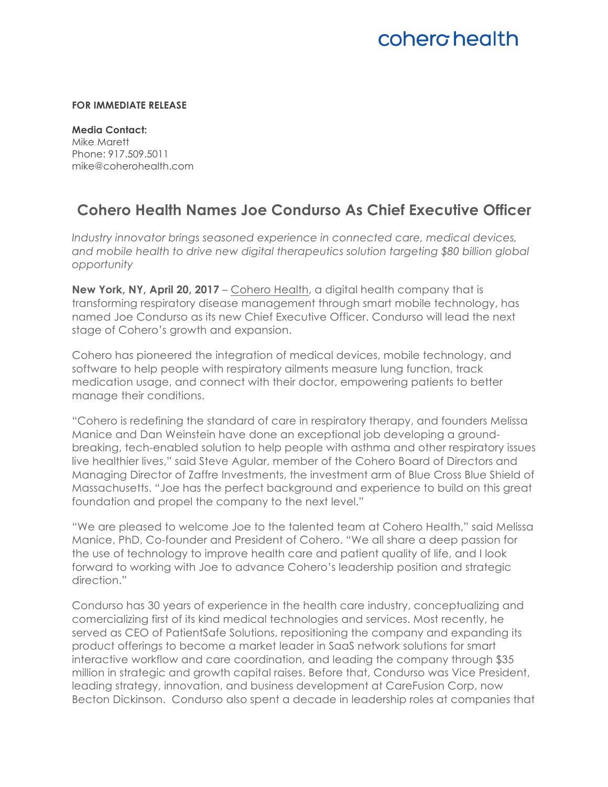# coherg health

#### **FOR IMMEDIATE RELEASE**

**Media Contact:**  Mike Marett Phone: 917.509.5011 mike@coherohealth.com

### **Cohero Health Names Joe Condurso As Chief Executive Officer**

*Industry innovator brings seasoned experience in connected care, medical devices, and mobile health to drive new digital therapeutics solution targeting \$80 billion global opportunity*

**New York, NY, April 20, 2017** – Cohero Health, a digital health company that is transforming respiratory disease management through smart mobile technology, has named Joe Condurso as its new Chief Executive Officer. Condurso will lead the next stage of Cohero's growth and expansion.

Cohero has pioneered the integration of medical devices, mobile technology, and software to help people with respiratory ailments measure lung function, track medication usage, and connect with their doctor, empowering patients to better manage their conditions.

"Cohero is redefining the standard of care in respiratory therapy, and founders Melissa Manice and Dan Weinstein have done an exceptional job developing a groundbreaking, tech-enabled solution to help people with asthma and other respiratory issues live healthier lives," said Steve Agular, member of the Cohero Board of Directors and Managing Director of Zaffre Investments, the investment arm of Blue Cross Blue Shield of Massachusetts. "Joe has the perfect background and experience to build on this great foundation and propel the company to the next level."

"We are pleased to welcome Joe to the talented team at Cohero Health," said Melissa Manice, PhD, Co-founder and President of Cohero. "We all share a deep passion for the use of technology to improve health care and patient quality of life, and I look forward to working with Joe to advance Cohero's leadership position and strategic direction."

Condurso has 30 years of experience in the health care industry, conceptualizing and comercializing first of its kind medical technologies and services. Most recently, he served as CEO of PatientSafe Solutions, repositioning the company and expanding its product offerings to become a market leader in SaaS network solutions for smart interactive workflow and care coordination, and leading the company through \$35 million in strategic and growth capital raises. Before that, Condurso was Vice President, leading strategy, innovation, and business development at CareFusion Corp, now Becton Dickinson. Condurso also spent a decade in leadership roles at companies that